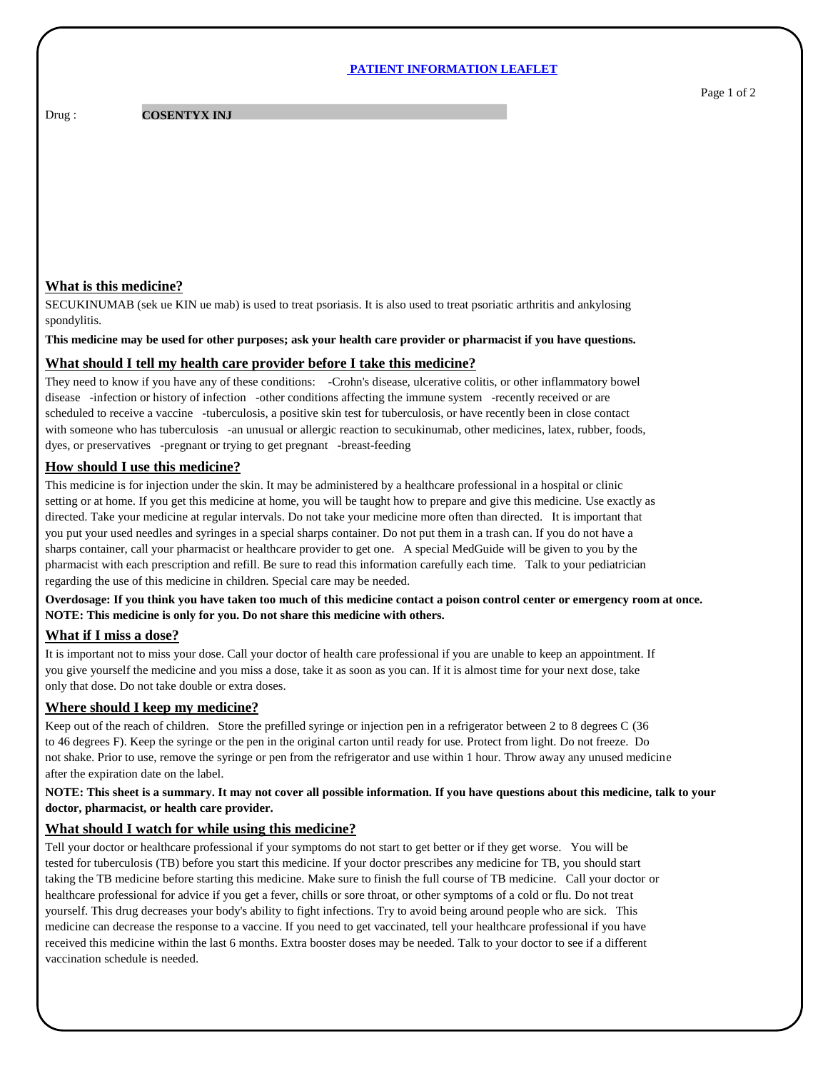#### **PATIENT INFORMATION LEAFLET**

**COSENTYX INJ** 

#### **What is this medicine?**

Drug :

SECUKINUMAB (sek ue KIN ue mab) is used to treat psoriasis. It is also used to treat psoriatic arthritis and ankylosing spondylitis.

**This medicine may be used for other purposes; ask your health care provider or pharmacist if you have questions.**

#### **What should I tell my health care provider before I take this medicine?**

They need to know if you have any of these conditions: -Crohn's disease, ulcerative colitis, or other inflammatory bowel disease -infection or history of infection -other conditions affecting the immune system -recently received or are scheduled to receive a vaccine -tuberculosis, a positive skin test for tuberculosis, or have recently been in close contact with someone who has tuberculosis -an unusual or allergic reaction to secukinumab, other medicines, latex, rubber, foods, dyes, or preservatives -pregnant or trying to get pregnant -breast-feeding

## **How should I use this medicine?**

This medicine is for injection under the skin. It may be administered by a healthcare professional in a hospital or clinic setting or at home. If you get this medicine at home, you will be taught how to prepare and give this medicine. Use exactly as directed. Take your medicine at regular intervals. Do not take your medicine more often than directed. It is important that you put your used needles and syringes in a special sharps container. Do not put them in a trash can. If you do not have a sharps container, call your pharmacist or healthcare provider to get one. A special MedGuide will be given to you by the pharmacist with each prescription and refill. Be sure to read this information carefully each time. Talk to your pediatrician regarding the use of this medicine in children. Special care may be needed.

**Overdosage: If you think you have taken too much of this medicine contact a poison control center or emergency room at once. NOTE: This medicine is only for you. Do not share this medicine with others.**

## **What if I miss a dose?**

It is important not to miss your dose. Call your doctor of health care professional if you are unable to keep an appointment. If you give yourself the medicine and you miss a dose, take it as soon as you can. If it is almost time for your next dose, take only that dose. Do not take double or extra doses.

# **Where should I keep my medicine?**

Keep out of the reach of children. Store the prefilled syringe or injection pen in a refrigerator between 2 to 8 degrees C (36 to 46 degrees F). Keep the syringe or the pen in the original carton until ready for use. Protect from light. Do not freeze. Do not shake. Prior to use, remove the syringe or pen from the refrigerator and use within 1 hour. Throw away any unused medicine after the expiration date on the label.

#### **NOTE: This sheet is a summary. It may not cover all possible information. If you have questions about this medicine, talk to your doctor, pharmacist, or health care provider.**

## **What should I watch for while using this medicine?**

Tell your doctor or healthcare professional if your symptoms do not start to get better or if they get worse. You will be tested for tuberculosis (TB) before you start this medicine. If your doctor prescribes any medicine for TB, you should start taking the TB medicine before starting this medicine. Make sure to finish the full course of TB medicine. Call your doctor or healthcare professional for advice if you get a fever, chills or sore throat, or other symptoms of a cold or flu. Do not treat yourself. This drug decreases your body's ability to fight infections. Try to avoid being around people who are sick. This medicine can decrease the response to a vaccine. If you need to get vaccinated, tell your healthcare professional if you have received this medicine within the last 6 months. Extra booster doses may be needed. Talk to your doctor to see if a different vaccination schedule is needed.